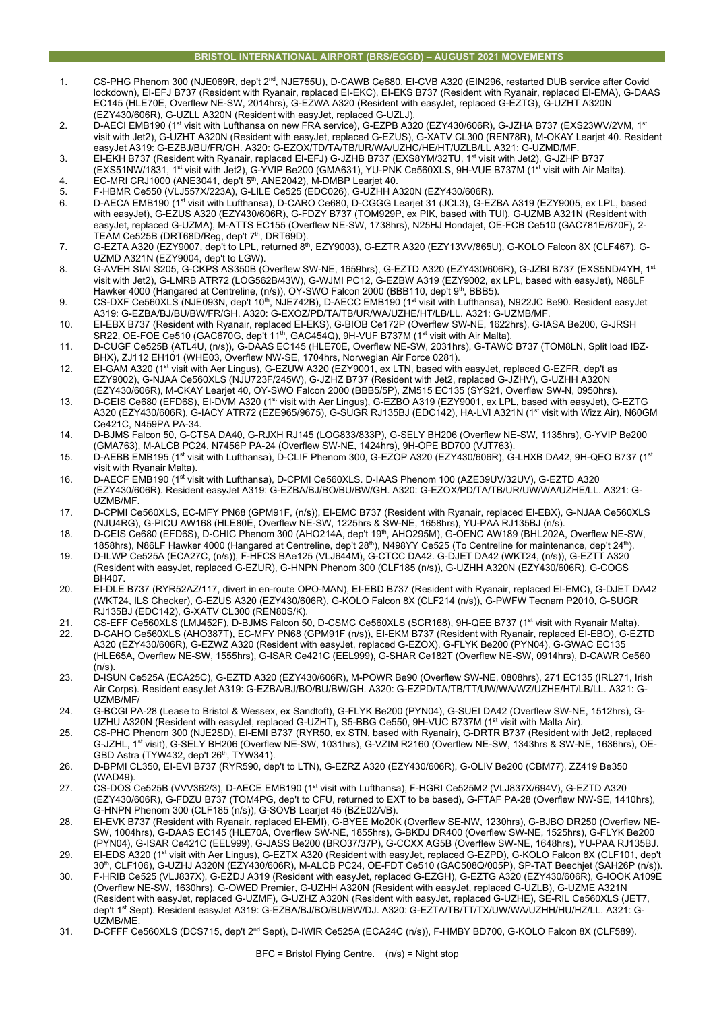### **BRISTOL INTERNATIONAL AIRPORT (BRS/EGGD) – AUGUST 2021 MOVEMENTS**

- 1. CS-PHG Phenom 300 (NJE069R, dep't 2<sup>nd</sup>, NJE755U), D-CAWB Ce680, EI-CVB A320 (EIN296, restarted DUB service after Covid lockdown), EI-EFJ B737 (Resident with Ryanair, replaced EI-EKC), EI-EKS B737 (Resident with Ryanair, replaced EI-EMA), G-DAAS EC145 (HLE70E, Overflew NE-SW, 2014hrs), G-EZWA A320 (Resident with easyJet, replaced G-EZTG), G-UZHT A320N (EZY430/606R), G-UZLL A320N (Resident with easyJet, replaced G-UZLJ).
- 2. D-AECI EMB190 (1<sup>st</sup> visit with Lufthansa on new FRA service), G-EZPB A320 (EZY430/606R), G-JZHA B737 (EXS23WV/2VM, 1<sup>st</sup> visit with Jet2), G-UZHT A320N (Resident with easyJet, replaced G-EZUS), G-XATV CL300 (REN78R), M-OKAY Learjet 40. Resident easyJet A319: G-EZBJ/BU/FR/GH. A320: G-EZOX/TD/TA/TB/UR/WA/UZHC/HE/HT/UZLB/LL A321: G-UZMD/MF.
- 3. EI-EKH B737 (Resident with Ryanair, replaced EI-EFJ) G-JZHB B737 (EXS8YM/32TU, 1st visit with Jet2), G-JZHP B737 (EXS51NW/1831, 1st visit with Jet2), G-YVIP Be200 (GMA631), YU-PNK Ce560XLS, 9H-VUE B737M (1st visit with Air Malta).
- 4. EC-MRI CRJ1000 (ANE3041, dep't  $5<sup>th</sup>$ , ANE2042), M-DMBP Learjet 40.
- 5. F-HBMR Ce550 (VLJ557X/223A), G-LILE Ce525 (EDC026), G-UZHH A320N (EZY430/606R).
- 6. D-AECA EMB190 (1st visit with Lufthansa), D-CARO Ce680, D-CGGG Learjet 31 (JCL3), G-EZBA A319 (EZY9005, ex LPL, based with easyJet), G-EZUS A320 (EZY430/606R), G-FDZY B737 (TOM929P, ex PIK, based with TUI), G-UZMB A321N (Resident with easyJet, replaced G-UZMA), M-ATTS EC155 (Overflew NE-SW, 1738hrs), N25HJ Hondajet, OE-FCB Ce510 (GAC781E/670F), 2- TEAM Ce525B (DRT68D/Reg, dep't 7th, DRT69D).
- 7. G-EZTA A320 (EZY9007, dep't to LPL, returned 8th, EZY9003), G-EZTR A320 (EZY13VV/865U), G-KOLO Falcon 8X (CLF467), G-UZMD A321N (EZY9004, dep't to LGW).
- 8. G-AVEH SIAI S205, G-CKPS AS350B (Overflew SW-NE, 1659hrs), G-EZTD A320 (EZY430/606R), G-JZBI B737 (EXS5ND/4YH, 1st visit with Jet2), G-LMRB ATR72 (LOG562B/43W), G-WJMI PC12, G-EZBW A319 (EZY9002, ex LPL, based with easyJet), N86LF Hawker 4000 (Hangared at Centreline, (n/s)), OY-SWO Falcon 2000 (BBB110, dep't 9<sup>th</sup>, BBB5).
- 9. CS-DXF Ce560XLS (NJE093N, dep't 10<sup>th</sup>, NJE742B), D-AECC EMB190 (1<sup>st</sup> visit with Lufthansa), N922JC Be90. Resident easyJet A319: G-EZBA/BJ/BU/BW/FR/GH. A320: G-EXOZ/PD/TA/TB/UR/WA/UZHE/HT/LB/LL. A321: G-UZMB/MF.
- 10. EI-EBX B737 (Resident with Ryanair, replaced EI-EKS), G-BIOB Ce172P (Overflew SW-NE, 1622hrs), G-IASA Be200, G-JRSH SR22, OE-FOE Ce510 (GAC670G, dep't 11th, GAC454Q), 9H-VUF B737M (1st visit with Air Malta).
- 11. D-CUGF Ce525B (ATL4U, (n/s)), G-DAAS EC145 (HLE70E, Overflew NE-SW, 2031hrs), G-TAWC B737 (TOM8LN, Split load IBZ-BHX), ZJ112 EH101 (WHE03, Overflew NW-SE, 1704hrs, Norwegian Air Force 0281).
- 12. EI-GAM A320 (1st visit with Aer Lingus), G-EZUW A320 (EZY9001, ex LTN, based with easyJet, replaced G-EZFR, dep't as EZY9002), G-NJAA Ce560XLS (NJU723F/245W), G-JZHZ B737 (Resident with Jet2, replaced G-JZHV), G-UZHH A320N (EZY430/606R), M-CKAY Learjet 40, OY-SWO Falcon 2000 (BBB5/5P), ZM515 EC135 (SYS21, Overflew SW-N, 0950hrs).
- 13. D-CEIS Ce680 (EFD6S), EI-DVM A320 (1st visit with Aer Lingus), G-EZBO A319 (EZY9001, ex LPL, based with easyJet), G-EZTG A320 (EZY430/606R), G-IACY ATR72 (EZE965/9675), G-SUGR RJ135BJ (EDC142), HA-LVI A321N (1st visit with Wizz Air), N60GM Ce421C, N459PA PA-34.
- 14. D-BJMS Falcon 50, G-CTSA DA40, G-RJXH RJ145 (LOG833/833P), G-SELY BH206 (Overflew NE-SW, 1135hrs), G-YVIP Be200 (GMA763), M-ALCB PC24, N7456P PA-24 (Overflew SW-NE, 1424hrs), 9H-OPE BD700 (VJT763).
- 15. D-AEBB EMB195 (1<sup>st</sup> visit with Lufthansa), D-CLIF Phenom 300, G-EZOP A320 (EZY430/606R), G-LHXB DA42, 9H-QEO B737 (1<sup>st</sup> visit with Ryanair Malta).
- 16. D-AECF EMB190 (1st visit with Lufthansa), D-CPMI Ce560XLS. D-IAAS Phenom 100 (AZE39UV/32UV), G-EZTD A320 (EZY430/606R). Resident easyJet A319: G-EZBA/BJ/BO/BU/BW/GH. A320: G-EZOX/PD/TA/TB/UR/UW/WA/UZHE/LL. A321: G-UZMB/MF.
- 17. D-CPMI Ce560XLS, EC-MFY PN68 (GPM91F, (n/s)), EI-EMC B737 (Resident with Ryanair, replaced EI-EBX), G-NJAA Ce560XLS (NJU4RG), G-PICU AW168 (HLE80E, Overflew NE-SW, 1225hrs & SW-NE, 1658hrs), YU-PAA RJ135BJ (n/s).
- 18. D-CEIS Ce680 (EFD6S), D-CHIC Phenom 300 (AHO214A, dep't 19th, AHO295M), G-OENC AW189 (BHL202A, Overflew NE-SW, 1858hrs), N86LF Hawker 4000 (Hangared at Centreline, dep't 28<sup>th</sup>), N498YY Ce525 (To Centreline for maintenance, dep't 24<sup>th</sup>). 19. D-ILWP Ce525A (ECA27C, (n/s)), F-HFCS BAe125 (VLJ644M), G-CTCC DA42. G-DJET DA42 (WKT24, (n/s)), G-EZTT A320
- (Resident with easyJet, replaced G-EZUR), G-HNPN Phenom 300 (CLF185 (n/s)), G-UZHH A320N (EZY430/606R), G-COGS BH407.
- 20. EI-DLE B737 (RYR52AZ/117, divert in en-route OPO-MAN), EI-EBD B737 (Resident with Ryanair, replaced EI-EMC), G-DJET DA42 (WKT24, ILS Checker), G-EZUS A320 (EZY430/606R), G-KOLO Falcon 8X (CLF214 (n/s)), G-PWFW Tecnam P2010, G-SUGR RJ135BJ (EDC142), G-XATV CL300 (REN80S/K).
- 21. CS-EFF Ce560XLS (LMJ452F), D-BJMS Falcon 50, D-CSMC Ce560XLS (SCR168), 9H-QEE B737 (1st visit with Ryanair Malta). 22. D-CAHO Ce560XLS (AHO387T), EC-MFY PN68 (GPM91F (n/s)), EI-EKM B737 (Resident with Ryanair, replaced EI-EBO), G-EZTD A320 (EZY430/606R), G-EZWZ A320 (Resident with easyJet, replaced G-EZOX), G-FLYK Be200 (PYN04), G-GWAC EC135 (HLE65A, Overflew NE-SW, 1555hrs), G-ISAR Ce421C (EEL999), G-SHAR Ce182T (Overflew NE-SW, 0914hrs), D-CAWR Ce560  $(n/s)$ .
- 23. D-ISUN Ce525A (ECA25C), G-EZTD A320 (EZY430/606R), M-POWR Be90 (Overflew SW-NE, 0808hrs), 271 EC135 (IRL271, Irish Air Corps). Resident easyJet A319: G-EZBA/BJ/BO/BU/BW/GH. A320: G-EZPD/TA/TB/TT/UW/WA/WZ/UZHE/HT/LB/LL. A321: G-UZMB/MF/
- 24. G-BCGI PA-28 (Lease to Bristol & Wessex, ex Sandtoft), G-FLYK Be200 (PYN04), G-SUEI DA42 (Overflew SW-NE, 1512hrs), G-UZHU A320N (Resident with easyJet, replaced G-UZHT), S5-BBG Ce550, 9H-VUC B737M (1st visit with Malta Air).
- 25. CS-PHC Phenom 300 (NJE2SD), EI-EMI B737 (RYR50, ex STN, based with Ryanair), G-DRTR B737 (Resident with Jet2, replaced G-JZHL, 1st visit), G-SELY BH206 (Overflew NE-SW, 1031hrs), G-VZIM R2160 (Overflew NE-SW, 1343hrs & SW-NE, 1636hrs), OE-GBD Astra (TYW432, dep't 26<sup>th</sup>, TYW341).
- 26. D-BPMI CL350, EI-EVI B737 (RYR590, dep't to LTN), G-EZRZ A320 (EZY430/606R), G-OLIV Be200 (CBM77), ZZ419 Be350 (WAD49)
- 27. CS-DOS Ce525B (VVV362/3), D-AECE EMB190 (1st visit with Lufthansa), F-HGRI Ce525M2 (VLJ837X/694V), G-EZTD A320 (EZY430/606R), G-FDZU B737 (TOM4PG, dep't to CFU, returned to EXT to be based), G-FTAF PA-28 (Overflew NW-SE, 1410hrs), G-HNPN Phenom 300 (CLF185 (n/s)), G-SOVB Learjet 45 (BZE02A/B).
- 28. EI-EVK B737 (Resident with Ryanair, replaced EI-EMI), G-BYEE Mo20K (Overflew SE-NW, 1230hrs), G-BJBO DR250 (Overflew NE-SW, 1004hrs), G-DAAS EC145 (HLE70A, Overflew SW-NE, 1855hrs), G-BKDJ DR400 (Overflew SW-NE, 1525hrs), G-FLYK Be200 (PYN04), G-ISAR Ce421C (EEL999), G-JASS Be200 (BRO37/37P), G-CCXX AG5B (Overflew SW-NE, 1648hrs), YU-PAA RJ135BJ.
- 29. EI-EDS A320 (1st visit with Aer Lingus), G-EZTX A320 (Resident with easyJet, replaced G-EZPD), G-KOLO Falcon 8X (CLF101, dep't 30th, CLF106), G-UZHJ A320N (EZY430/606R), M-ALCB PC24, OE-FDT Ce510 (GAC508Q/005P), SP-TAT Beechjet (SAH26P (n/s)).
- 30. F-HRIB Ce525 (VLJ837X), G-EZDJ A319 (Resident with easyJet, replaced G-EZGH), G-EZTG A320 (EZY430/606R), G-IOOK A109E (Overflew NE-SW, 1630hrs), G-OWED Premier, G-UZHH A320N (Resident with easyJet, replaced G-UZLB), G-UZME A321N (Resident with easyJet, replaced G-UZMF), G-UZHZ A320N (Resident with easyJet, replaced G-UZHE), SE-RIL Ce560XLS (JET7, dep't 1st Sept). Resident easyJet A319: G-EZBA/BJ/BO/BU/BW/DJ. A320: G-EZTA/TB/TT/TX/UW/WA/UZHH/HU/HZ/LL. A321: G-UZMB/ME.
- 31. D-CFFF Ce560XLS (DCS715, dep't 2nd Sept), D-IWIR Ce525A (ECA24C (n/s)), F-HMBY BD700, G-KOLO Falcon 8X (CLF589).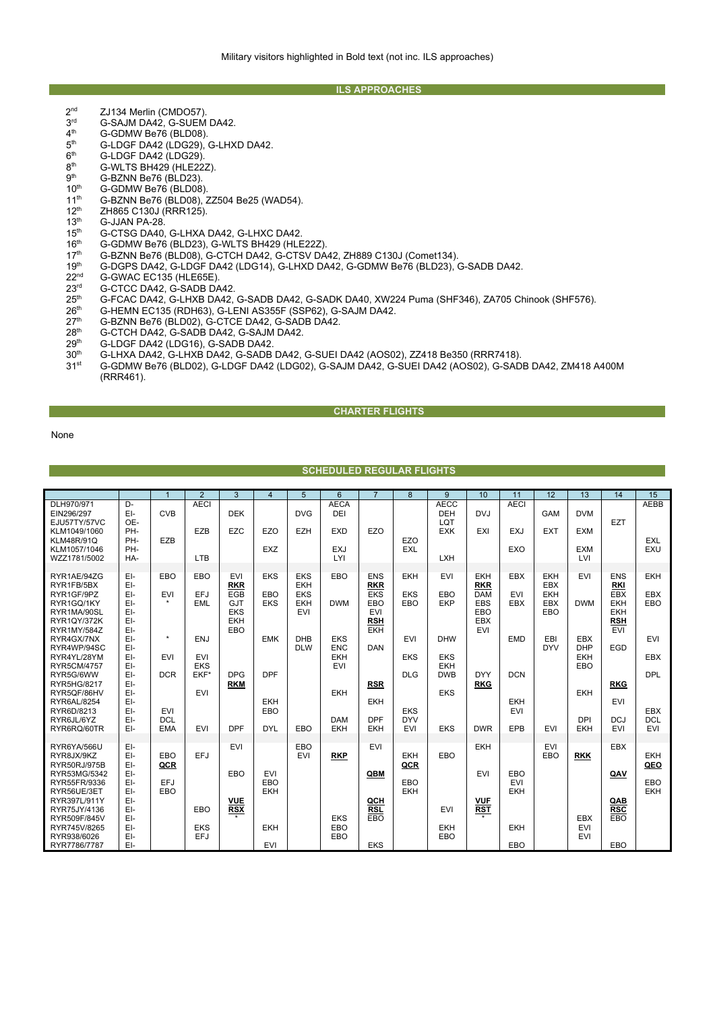#### **ILS APPROACHES**

- $2<sup>nd</sup>$  ZJ134 Merlin (CMDO57).<br> $3<sup>rd</sup>$  G-SA.IM DA42 G-SUFM
- 3rd G-SAJM DA42, G-SUEM DA42.<br>4<sup>th</sup> G-GDMW Be76 (BLD08).
- $4<sup>th</sup>$  G-GDMW Be76 (BLD08).<br> $5<sup>th</sup>$  G-LDGF DA42 (LDG29).
- $5<sup>th</sup>$  G-LDGF DA42 (LDG29), G-LHXD DA42.<br> $6<sup>th</sup>$  G-LDGF DA42 (LDG29).
- $6<sup>th</sup>$  G-LDGF DA42 (LDG29)<br> $8<sup>th</sup>$  G-WI TS BH429 (HI F22)
- $8<sup>th</sup>$  G-WLTS BH429 (HLE22Z).<br> $9<sup>th</sup>$  G-BZNN Be76 (BLD23).
- $9<sup>th</sup>$  G-BZNN Be76 (BLD23).<br>10<sup>th</sup> G-GDMW Be76 (BLD08)
- 10<sup>th</sup> G-GDMW Be76 (BLD08).
- 11<sup>th</sup> G-BZNN Be76 (BLD08), ZZ504 Be25 (WAD54).
- $12^{th}$  ZH865 C130J (RRR125).<br> $13^{th}$  G-JJAN PA-28.
- $13^{th}$  G-JJAN PA-28.<br> $15^{th}$  G-CTSG DA40.
- 15<sup>th</sup> G-CTSG DA40, G-LHXA DA42, G-LHXC DA42.<br>16<sup>th</sup> G-GDMW Be76 (BLD23), G-WLTS BH429 (HLE
- 
- 16<sup>th</sup> G-GDMW Be76 (BLD23), G-WLTS BH429 (HLE22Z).<br>17<sup>th</sup> G-BZNN Be76 (BLD08), G-CTCH DA42, G-CTSV DA 17<sup>th</sup> G-BZNN Be76 (BLD08), G-CTCH DA42, G-CTSV DA42, ZH889 C130J (Comet134).<br>19<sup>th</sup> G-DGPS DA42, G-LDGF DA42 (LDG14), G-LHXD DA42, G-GDMW Be76 (BLD23), Q
- 19<sup>th</sup> G-DGPS DA42, G-LDGF DA42 (LDG14), G-LHXD DA42, G-GDMW Be76 (BLD23), G-SADB DA42.<br>22<sup>nd</sup> G-GWAC EC135 (HLE65E).
- 22<sup>nd</sup> G-GWAC EC135 (HLE65E).<br>23<sup>rd</sup> G-CTCC DA42. G-SADR D4
- 23<sup>rd</sup> G-CTCC DA42, G-SADB DA42.<br>25<sup>th</sup> G-FCAC DA42, G-LHXB DA42,
- 25<sup>th</sup> G-FCAC DA42, G-LHXB DA42, G-SADB DA42, G-SADK DA40, XW224 Puma (SHF346), ZA705 Chinook (SHF576).<br>26<sup>th</sup> G-HEMN EC135 (RDH63), G-LENI AS355F (SSP62), G-SAJM DA42.
- 26<sup>th</sup> G-HEMN EC135 (RDH63), G-LENI AS355F (SSP62), G-SAJM DA42.
- 27<sup>th</sup> G-BZNN Be76 (BLD02), G-CTCE DA42, G-SADB DA42.
- 28<sup>th</sup> G-CTCH DA42, G-SADB DA42, G-SAJM DA42.<br>29<sup>th</sup> G-LDGF DA42 (LDG16), G-SADB DA42.
- 29<sup>th</sup> G-LDGF DA42 (LDG16), G-SADB DA42<br>30<sup>th</sup> G-LHXA DA42, G-LHXB DA42, G-SADB
- 30<sup>th</sup> G-LHXA DA42, G-LHXB DA42, G-SADB DA42, G-SUEI DA42 (AOS02), ZZ418 Be350 (RRR7418).<br>31<sup>st</sup> G-GDMW Be76 (BLD02), G-LDGF DA42 (LDG02). G-SAJM DA42 G-SUFI DA42 (AOS02). G-SAD
- 31st G-GDMW Be76 (BLD02), G-LDGF DA42 (LDG02), G-SAJM DA42, G-SUEI DA42 (AOS02), G-SADB DA42, ZM418 A400M (RRR461).

## **CHARTER FLIGHTS**

None

### **SCHEDULED REGULAR FLIGHTS**

|                                                                                                                                                                                         |                                                                                  | $\overline{1}$                                                                 | 2                                                                          | 3                                                                                | $\overline{4}$                                       | 5                                                                  | 6                                                                                              | $\overline{7}$                                                                          | 8                                                                         | 9                                                                                | 10                                                                                      | 11                                                          | 12                                            | 13                                                                                      | 14                                                                               | 15                                                                               |
|-----------------------------------------------------------------------------------------------------------------------------------------------------------------------------------------|----------------------------------------------------------------------------------|--------------------------------------------------------------------------------|----------------------------------------------------------------------------|----------------------------------------------------------------------------------|------------------------------------------------------|--------------------------------------------------------------------|------------------------------------------------------------------------------------------------|-----------------------------------------------------------------------------------------|---------------------------------------------------------------------------|----------------------------------------------------------------------------------|-----------------------------------------------------------------------------------------|-------------------------------------------------------------|-----------------------------------------------|-----------------------------------------------------------------------------------------|----------------------------------------------------------------------------------|----------------------------------------------------------------------------------|
| DLH970/971<br>EIN296/297<br>EJU57TY/57VC<br>KLM1049/1060<br><b>KLM48R/91Q</b><br>KLM1057/1046<br>WZZ1781/5002                                                                           | D-<br>EI-<br>OE-<br>PH-<br>PH-<br>PH-<br>HA-                                     | <b>CVB</b><br>EZB                                                              | <b>AECI</b><br>EZB<br><b>LTB</b>                                           | <b>DEK</b><br><b>EZC</b>                                                         | EZO<br><b>EXZ</b>                                    | <b>DVG</b><br><b>EZH</b>                                           | <b>AECA</b><br>DEI<br><b>EXD</b><br><b>EXJ</b><br>LYI                                          | EZO                                                                                     | EZO<br><b>EXL</b>                                                         | <b>AECC</b><br><b>DEH</b><br>LQT<br><b>EXK</b><br><b>LXH</b>                     | <b>DVJ</b><br>EXI                                                                       | <b>AECI</b><br><b>EXJ</b><br>EXO                            | <b>GAM</b><br><b>EXT</b>                      | <b>DVM</b><br><b>EXM</b><br><b>EXM</b><br>LVI                                           | <b>EZT</b>                                                                       | AEBB<br><b>EXL</b><br>EXU                                                        |
| RYR1AE/94ZG<br>RYR1FB/5BX<br>RYR1GF/9PZ<br>RYR1GQ/1KY<br>RYR1MA/90SL<br><b>RYR1QY/372K</b><br><b>RYR1MY/584Z</b>                                                                        | EI-<br>EI-<br>EI-<br>EI-<br>EI-<br>EI-<br>EI-                                    | EBO<br><b>EVI</b><br>$\star$                                                   | EBO<br>EFJ<br><b>EML</b>                                                   | <b>EVI</b><br><b>RKR</b><br>EGB<br><b>GJT</b><br><b>EKS</b><br><b>EKH</b><br>EBO | <b>EKS</b><br>EBO<br><b>EKS</b>                      | <b>EKS</b><br><b>EKH</b><br><b>EKS</b><br><b>EKH</b><br><b>EVI</b> | EBO<br><b>DWM</b>                                                                              | <b>ENS</b><br><b>RKR</b><br><b>EKS</b><br>EBO<br><b>EVI</b><br><b>RSH</b><br><b>EKH</b> | <b>EKH</b><br><b>EKS</b><br>EBO                                           | <b>EVI</b><br>EBO<br>EKP                                                         | <b>EKH</b><br><b>RKR</b><br><b>DAM</b><br><b>EBS</b><br>EBO<br><b>EBX</b><br><b>EVI</b> | <b>EBX</b><br><b>EVI</b><br><b>EBX</b>                      | <b>EKH</b><br>EBX<br><b>EKH</b><br>EBX<br>EBO | <b>EVI</b><br><b>DWM</b>                                                                | <b>ENS</b><br>RKI<br>EBX<br><b>EKH</b><br><b>EKH</b><br><b>RSH</b><br><b>EVI</b> | <b>EKH</b><br><b>EBX</b><br>EBO                                                  |
| RYR4GX/7NX<br>RYR4WP/94SC<br>RYR4YL/28YM<br><b>RYR5CM/4757</b><br>RYR5G/6WW<br>RYR5HG/8217<br>RYR5QF/86HV<br>RYR6AL/8254<br>RYR6D/8213<br>RYR6JL/6YZ<br>RYR6RQ/60TR                     | EI-<br>EI-<br>EI-<br>EI-<br>EI-<br>EI-<br>EI-<br>EI-<br>EI-<br>EI-<br>EI-        | $^\star$<br><b>EVI</b><br><b>DCR</b><br><b>EVI</b><br><b>DCL</b><br><b>EMA</b> | <b>ENJ</b><br><b>EVI</b><br><b>EKS</b><br>EKF*<br><b>EVI</b><br><b>EVI</b> | <b>DPG</b><br><b>RKM</b><br><b>DPF</b>                                           | <b>EMK</b><br><b>DPF</b><br>EKH<br>EBO<br><b>DYL</b> | <b>DHB</b><br><b>DLW</b><br>EBO                                    | <b>EKS</b><br><b>ENC</b><br><b>EKH</b><br><b>EVI</b><br><b>EKH</b><br><b>DAM</b><br><b>EKH</b> | DAN<br><b>RSR</b><br><b>EKH</b><br><b>DPF</b><br><b>EKH</b>                             | EVI<br><b>EKS</b><br><b>DLG</b><br><b>EKS</b><br><b>DYV</b><br><b>EVI</b> | <b>DHW</b><br><b>EKS</b><br><b>EKH</b><br><b>DWB</b><br><b>EKS</b><br><b>EKS</b> | <b>DYY</b><br><b>RKG</b><br><b>DWR</b>                                                  | <b>EMD</b><br><b>DCN</b><br><b>EKH</b><br><b>EVI</b><br>EPB | EBI<br><b>DYV</b><br><b>EVI</b>               | <b>EBX</b><br><b>DHP</b><br><b>EKH</b><br>EBO<br><b>EKH</b><br><b>DPI</b><br><b>EKH</b> | EGD<br><b>RKG</b><br><b>EVI</b><br><b>DCJ</b><br><b>EVI</b>                      | <b>EVI</b><br><b>EBX</b><br><b>DPL</b><br><b>EBX</b><br><b>DCL</b><br><b>EVI</b> |
| RYR6YA/566U<br>RYR8JX/9KZ<br>RYR50RJ/975B<br>RYR53MG/5342<br>RYR55FR/9336<br>RYR56UE/3ET<br>RYR397L/911Y<br>RYR75JY/4136<br>RYR509F/845V<br>RYR745V/8265<br>RYR938/6026<br>RYR7786/7787 | EI-<br>EI-<br>EI-<br>EI-<br>EI-<br>EI-<br>EI-<br>EI-<br>EI-<br>EI-<br>EI-<br>EI- | EBO<br>QCR<br>EFJ<br>EBO                                                       | EFJ<br>EBO<br><b>EKS</b><br>EFJ                                            | <b>EVI</b><br>EBO<br><b>VUE</b><br><b>RSX</b>                                    | <b>EVI</b><br>EBO<br>EKH<br><b>EKH</b><br><b>EVI</b> | EBO<br><b>EVI</b>                                                  | <b>RKP</b><br><b>EKS</b><br>EBO<br>EBO                                                         | <b>EVI</b><br>QBM<br>QCH<br><b>RSL</b><br>EBO<br><b>EKS</b>                             | <b>EKH</b><br>QCR<br>EBO<br><b>EKH</b>                                    | EBO<br><b>EVI</b><br><b>EKH</b><br>EBO                                           | <b>EKH</b><br>EVI<br><b>VUF</b><br><b>RST</b>                                           | EBO<br><b>EVI</b><br><b>EKH</b><br><b>EKH</b><br>EBO        | <b>EVI</b><br>EBO                             | <b>RKK</b><br><b>EBX</b><br><b>EVI</b><br><b>EVI</b>                                    | EBX<br>QAV<br>QAB<br><b>RSC</b><br>EBO<br><b>EBO</b>                             | <b>EKH</b><br>QEO<br>EBO<br><b>EKH</b>                                           |